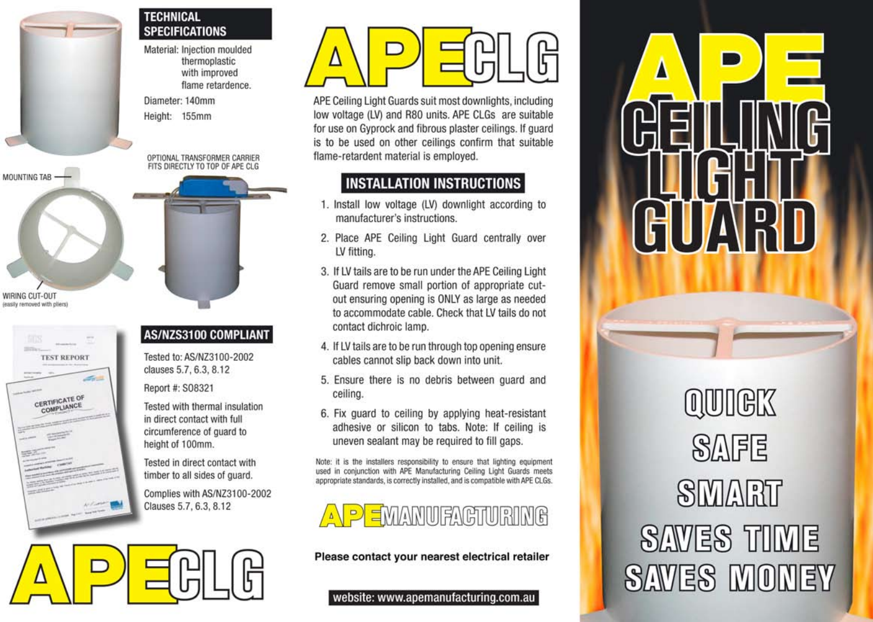### **TECHNICAL SPECIFICATIONS**

Material: Injection moulded thermoplastic with improved flame retardence.

Diameter: 140mm Height: 155mm

OPTIONAL TRANSFORMER CARRIER FITS DIRECTLY TO TOP OF APE CLG



WIRING CUT-OUT leasily removed with pliers

MOUNTING TAB



### **AS/NZS3100 COMPLIANT**

Tested to: AS/NZ3100-2002 clauses 5.7, 6.3, 8.12

Report #: S08321

Tested with thermal insulation in direct contact with full circumference of guard to height of 100mm.

Tested in direct contact with timber to all sides of quard.

Complies with AS/NZ3100-2002 Clauses 5.7, 6.3, 8.12

APE Ceiling Light Guards suit most downlights, including low voltage (LV) and R80 units. APE CLGs are suitable for use on Gyprock and fibrous plaster ceilings. If guard is to be used on other ceilings confirm that suitable flame-retardent material is employed.

## **INSTALLATION INSTRUCTIONS**

- 1. Install low voltage (LV) downlight according to manufacturer's instructions.
- 2. Place APE Ceiling Light Guard centrally over LV fitting.
- 3. If LV tails are to be run under the APE Ceiling Light Guard remove small portion of appropriate cutout ensuring opening is ONLY as large as needed to accommodate cable. Check that LV tails do not contact dichroic lamp.
- 4. If LV tails are to be run through top opening ensure cables cannot slip back down into unit.
- 5. Ensure there is no debris between quard and ceiling.
- 6. Fix quard to ceiling by applying heat-resistant adhesive or silicon to tabs. Note: If ceiling is uneven sealant may be required to fill gaps.

Note: it is the installers responsibility to ensure that lighting equipment used in conjunction with APE Manufacturing Ceiling Light Guards meets appropriate standards, is correctly installed, and is compatible with APE CLGs.



Please contact your nearest electrical retailer

#### website: www.apemanufacturing.com.au

**RID** AV.